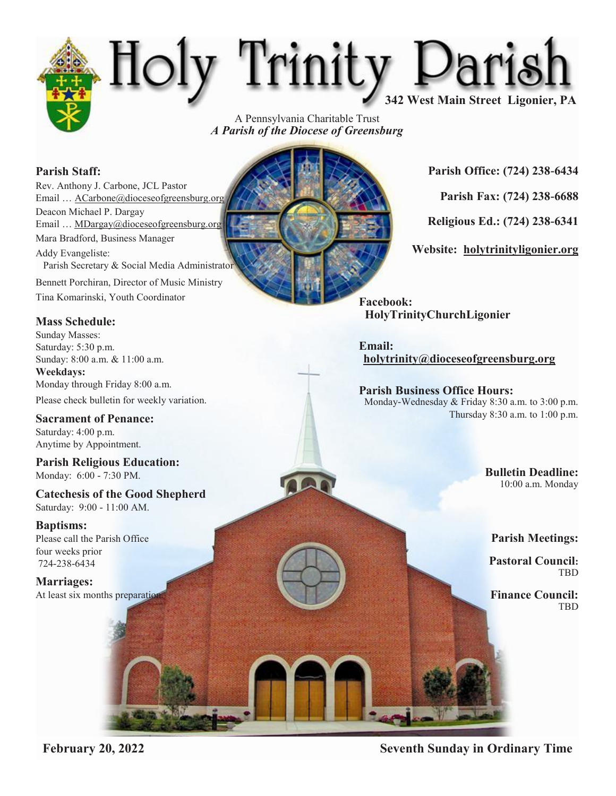# Holy Trinity Darish

A Pennsylvania Charitable Trust *A Parish of the Diocese of Greensburg*

### **Parish Staff:**

Rev. Anthony J. Carbone, JCL Pastor Email ... ACarbone@dioceseofgreensburg.org Deacon Michael P. Dargay Email … MDargay@dioceseofgreensburg.org Mara Bradford, Business Manager Addy Evangeliste: Parish Secretary & Social Media Administrator Bennett Porchiran, Director of Music Ministry Tina Komarinski, Youth Coordinator

### **Mass Schedule:**

Sunday Masses: Saturday: 5:30 p.m. Sunday: 8:00 a.m. & 11:00 a.m. **Weekdays:** Monday through Friday 8:00 a.m.

Please check bulletin for weekly variation.

**Sacrament of Penance:** Saturday: 4:00 p.m. Anytime by Appointment.

**Parish Religious Education:** Monday: 6:00 - 7:30 PM.

**Catechesis of the Good Shepherd** Saturday: 9:00 - 11:00 AM.

### **Baptisms:**

Please call the Parish Office four weeks prior 724-238-6434

**Marriages:** At least six months preparation



**Parish Office: (724) 238-6434**

**Parish Fax: (724) 238-6688**

**Religious Ed.: (724) 238-6341**

**Website: holytrinityligonier.org**

**Facebook: HolyTrinityChurchLigonier** 

**Email: holytrinity@dioceseofgreensburg.org**

**Parish Business Office Hours:** Monday-Wednesday & Friday 8:30 a.m. to 3:00 p.m. Thursday 8:30 a.m. to 1:00 p.m.

> **Bulletin Deadline:**  10:00 a.m. Monday

**Parish Meetings:** 

**Pastoral Council: TRD** 

**Finance Council:** TBD

**February 20, 2022 Seventh Sunday in Ordinary Time**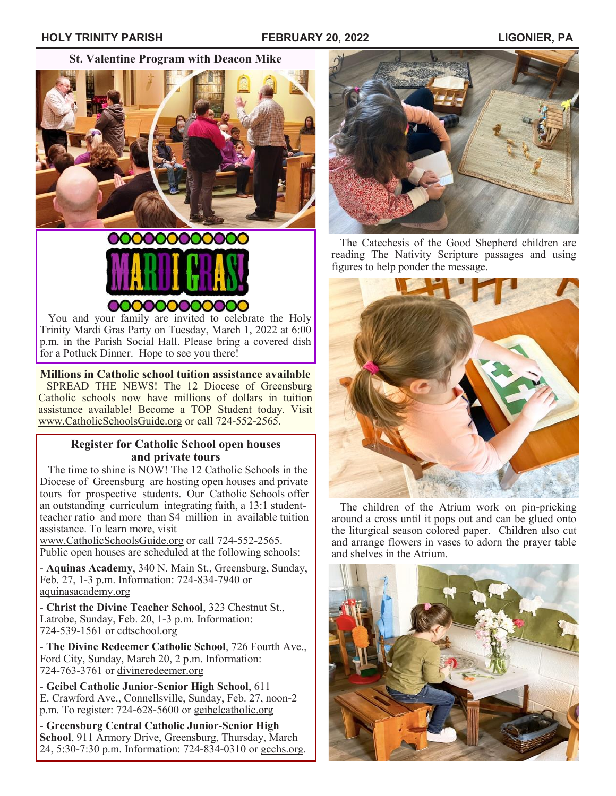**St. Valentine Program with Deacon Mike**





 You and your family are invited to celebrate the Holy Trinity Mardi Gras Party on Tuesday, March 1, 2022 at 6:00 p.m. in the Parish Social Hall. Please bring a covered dish for a Potluck Dinner. Hope to see you there!

#### **Millions in Catholic school tuition assistance available**

 SPREAD THE NEWS! The 12 Diocese of Greensburg Catholic schools now have millions of dollars in tuition assistance available! Become a TOP Student today. Visit [www.CatholicSchoolsGuide.org](http://www.CatholicSchoolsGuide.org) or call 724-552-2565.

### **Register for Catholic School open houses and private tours**

 The time to shine is NOW! The 12 Catholic Schools in the Diocese of Greensburg are hosting open houses and private tours for prospective students. Our Catholic Schools offer an outstanding curriculum integrating faith, a 13:1 studentteacher ratio and more than \$4 million in available tuition assistance. To learn more, visit

[www.CatholicSchoolsGuide.org](http://www.CatholicSchoolsGuide.org) or call 724-552-2565. Public open houses are scheduled at the following schools:

- **Aquinas Academy**, 340 N. Main St., Greensburg, Sunday, Feb. 27, 1-3 p.m. Information: 724-834-7940 or [aquinasacademy.org](http://www.aquinasacademy.org)

- **Christ the Divine Teacher School**, 323 Chestnut St., Latrobe, Sunday, Feb. 20, 1-3 p.m. Information: 724-539-1561 or [cdtschool.org](http://www.cdtschool.org)

- **The Divine Redeemer Catholic School**, 726 Fourth Ave., Ford City, Sunday, March 20, 2 p.m. Information: 724-763-3761 or [divineredeemer.org](http://www.divineredeemer.org)

- **Geibel Catholic Junior-Senior High School**, 611 E. Crawford Ave., Connellsville, Sunday, Feb. 27, noon-2 p.m. To register: 724-628-5600 or [geibelcatholic.org](http://www.geibelcatholic.org)

- **Greensburg Central Catholic Junior-Senior High School**, 911 Armory Drive, Greensburg, Thursday, March 24, 5:30-7:30 p.m. Information: 724-834-0310 or [gcchs.org.](http://www.gcchs.org)



 The Catechesis of the Good Shepherd children are reading The Nativity Scripture passages and using figures to help ponder the message.



 The children of the Atrium work on pin-pricking around a cross until it pops out and can be glued onto the liturgical season colored paper. Children also cut and arrange flowers in vases to adorn the prayer table and shelves in the Atrium.

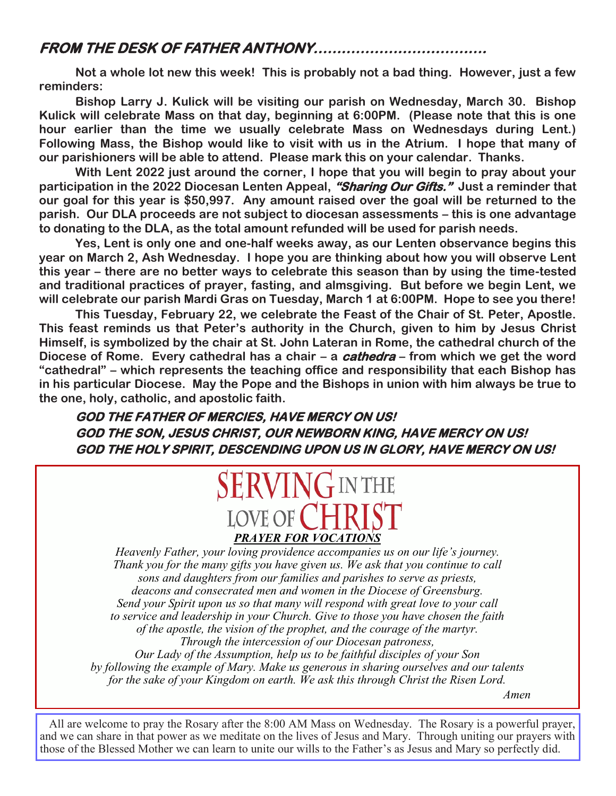### **FROM THE DESK OF FATHER ANTHONY……………………………….**

**Not a whole lot new this week! This is probably not a bad thing. However, just a few reminders:**

**Bishop Larry J. Kulick will be visiting our parish on Wednesday, March 30. Bishop Kulick will celebrate Mass on that day, beginning at 6:00PM. (Please note that this is one hour earlier than the time we usually celebrate Mass on Wednesdays during Lent.) Following Mass, the Bishop would like to visit with us in the Atrium. I hope that many of our parishioners will be able to attend. Please mark this on your calendar. Thanks.**

**With Lent 2022 just around the corner, I hope that you will begin to pray about your participation in the 2022 Diocesan Lenten Appeal, "Sharing Our Gifts." Just a reminder that our goal for this year is \$50,997. Any amount raised over the goal will be returned to the parish. Our DLA proceeds are not subject to diocesan assessments – this is one advantage to donating to the DLA, as the total amount refunded will be used for parish needs.**

**Yes, Lent is only one and one-half weeks away, as our Lenten observance begins this year on March 2, Ash Wednesday. I hope you are thinking about how you will observe Lent this year – there are no better ways to celebrate this season than by using the time-tested and traditional practices of prayer, fasting, and almsgiving. But before we begin Lent, we will celebrate our parish Mardi Gras on Tuesday, March 1 at 6:00PM. Hope to see you there!**

**This Tuesday, February 22, we celebrate the Feast of the Chair of St. Peter, Apostle. This feast reminds us that Peter's authority in the Church, given to him by Jesus Christ Himself, is symbolized by the chair at St. John Lateran in Rome, the cathedral church of the Diocese of Rome. Every cathedral has a chair – a cathedra – from which we get the word "cathedral" – which represents the teaching office and responsibility that each Bishop has in his particular Diocese. May the Pope and the Bishops in union with him always be true to the one, holy, catholic, and apostolic faith.**

**GOD THE FATHER OF MERCIES, HAVE MERCY ON US! GOD THE SON, JESUS CHRIST, OUR NEWBORN KING, HAVE MERCY ON US! GOD THE HOLY SPIRIT, DESCENDING UPON US IN GLORY, HAVE MERCY ON US!**

### **SERVING IN THE** LOVE OF CHR *PRAYER FOR VOCATIONS*

*Heavenly Father, your loving providence accompanies us on our life's journey. Thank you for the many gifts you have given us. We ask that you continue to call sons and daughters from our families and parishes to serve as priests, deacons and consecrated men and women in the Diocese of Greensburg. Send your Spirit upon us so that many will respond with great love to your call to service and leadership in your Church. Give to those you have chosen the faith of the apostle, the vision of the prophet, and the courage of the martyr. Through the intercession of our Diocesan patroness, Our Lady of the Assumption, help us to be faithful disciples of your Son by following the example of Mary. Make us generous in sharing ourselves and our talents* 

*for the sake of your Kingdom on earth. We ask this through Christ the Risen Lord.*

 *Amen*

All are welcome to pray the Rosary after the 8:00 AM Mass on Wednesday. The Rosary is a powerful prayer. and we can share in that power as we meditate on the lives of Jesus and Mary. Through uniting our prayers with those of the Blessed Mother we can learn to unite our wills to the Father's as Jesus and Mary so perfectly did.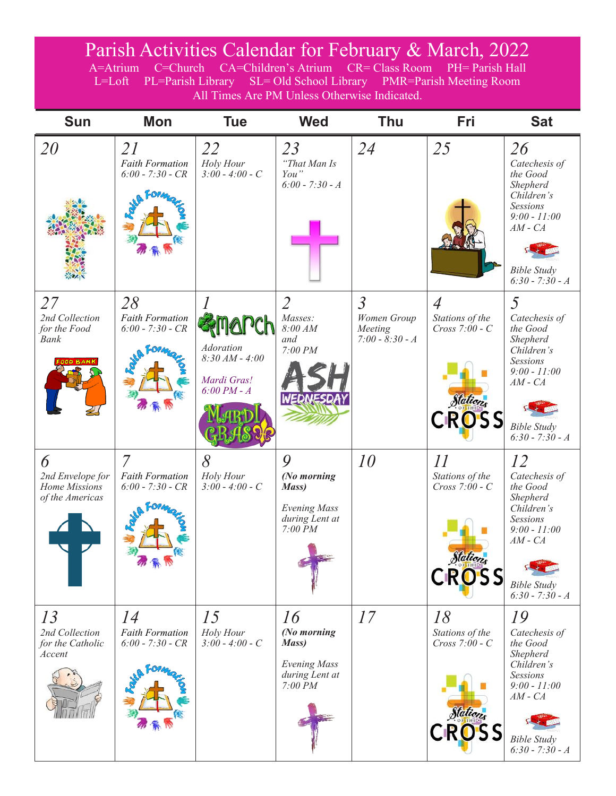## Parish Activities Calendar for February & March, 2022

A=Atrium C=Church CA=Children's Atrium CR= Class Room PH= Parish Hall L=Loft PL=Parish Library SL= Old School Library PMR=Parish Meeting Room All Times Are PM Unless Otherwise Indicated.

| <b>Sun</b>                                                | <b>Mon</b>                                                     | <b>Tue</b>                                                           | <b>Wed</b>                                                                                | <b>Thu</b>                                                    | Fri                                                                               | <b>Sat</b>                                                                                                                                        |
|-----------------------------------------------------------|----------------------------------------------------------------|----------------------------------------------------------------------|-------------------------------------------------------------------------------------------|---------------------------------------------------------------|-----------------------------------------------------------------------------------|---------------------------------------------------------------------------------------------------------------------------------------------------|
| 20                                                        | 21<br><b>Faith Formation</b><br>$6:00 - 7:30 - CR$             | 22<br>Holy Hour<br>$3:00 - 4:00 - C$                                 | 23<br>"That Man Is<br>You"<br>$6:00 - 7:30 - A$                                           | 24                                                            | 25                                                                                | 26<br>Catechesis of<br>the Good<br>Shepherd<br>Children's<br>Sessions<br>$9:00 - 11:00$<br>$AM - CA$<br><b>Bible Study</b><br>$6:30 - 7:30 - A$   |
| 27<br>2nd Collection<br>for the Food<br>Bank              | 28<br><b>Faith Formation</b><br>$6:00 - 7:30 - CR$             | <b>Adoration</b><br>$8:30 AM - 4:00$<br>Mardi Gras!<br>$6:00 PM - A$ | $\overline{2}$<br>Masses:<br>8:00 AM<br>and<br>7:00 PM<br>WEDNESDA                        | $\overline{3}$<br>Women Group<br>Meeting<br>$7:00 - 8:30 - A$ | $\overline{A}$<br>Stations of the<br>$Cross 7:00 - C$<br>Stations<br><b>CROSS</b> | 5<br>Catechesis of<br>the Good<br>Shepherd<br>Children's<br>Sessions<br>$9:00 - 11:00$<br>$AM - CA$<br><b>Bible Study</b><br>$6:30 - 7:30 - A$    |
| 6<br>2nd Envelope for<br>Home Missions<br>of the Americas | $\overline{7}$<br><b>Faith Formation</b><br>$6:00 - 7:30 - CR$ | 8<br>Holy Hour<br>$3:00 - 4:00 - C$                                  | 9<br>(No morning<br>Mass)<br><b>Evening Mass</b><br>during Lent at<br>$7:00\overline{P}M$ | 10                                                            | II<br>Stations of the<br>$Cross 7:00 - C$<br>Stations<br>CROSS                    | 12<br>Catechesis of<br>the Good<br>Shepherd<br>Children's<br>Sessions<br>$9:00 - 11:00$<br>$AM - CA$<br><b>Bible Study</b><br>$6:30 - 7:30 - A$   |
| 13<br>2nd Collection<br>for the Catholic<br>Accent        | 14<br><b>Faith Formation</b><br>$6:00 - 7:30 - CR$             | 15<br>Holy Hour<br>$3:00 - 4:00 - C$                                 | 16<br>(No morning<br>Mass)<br><b>Evening Mass</b><br>during Lent at<br>7:00 PM            | 17                                                            | 18<br>Stations of the<br>$Cross 7:00 - C$<br>Stations<br><b>CROSS</b>             | 19<br>Catechesis of<br>the Good<br>Shepherd<br>Children's<br>Sessions<br>$9:00 - 11:00$<br>$AM$ - $CA$<br><b>Bible Study</b><br>$6:30 - 7:30 - A$ |